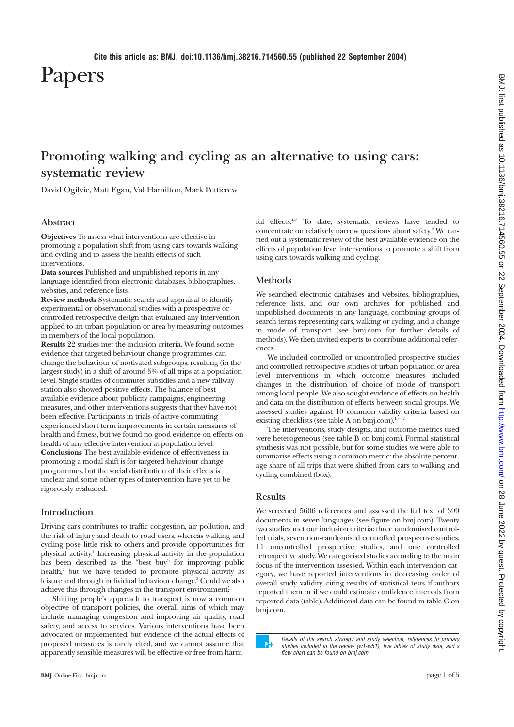Papers

# **Promoting walking and cycling as an alternative to using cars: systematic review**

David Ogilvie, Matt Egan, Val Hamilton, Mark Petticrew

# **Abstract**

**Objectives** To assess what interventions are effective in promoting a population shift from using cars towards walking and cycling and to assess the health effects of such interventions.

**Data sources** Published and unpublished reports in any language identified from electronic databases, bibliographies, websites, and reference lists.

**Review methods** Systematic search and appraisal to identify experimental or observational studies with a prospective or controlled retrospective design that evaluated any intervention applied to an urban population or area by measuring outcomes in members of the local population.

**Results** 22 studies met the inclusion criteria. We found some evidence that targeted behaviour change programmes can change the behaviour of motivated subgroups, resulting (in the largest study) in a shift of around 5% of all trips at a population level. Single studies of commuter subsidies and a new railway station also showed positive effects. The balance of best available evidence about publicity campaigns, engineering measures, and other interventions suggests that they have not been effective. Participants in trials of active commuting experienced short term improvements in certain measures of health and fitness, but we found no good evidence on effects on health of any effective intervention at population level. **Conclusions** The best available evidence of effectiveness in promoting a modal shift is for targeted behaviour change programmes, but the social distribution of their effects is unclear and some other types of intervention have yet to be rigorously evaluated.

## **Introduction**

Driving cars contributes to traffic congestion, air pollution, and the risk of injury and death to road users, whereas walking and cycling pose little risk to others and provide opportunities for physical activity.1 Increasing physical activity in the population has been described as the "best buy" for improving public health,<sup>2</sup> but we have tended to promote physical activity as leisure and through individual behaviour change.<sup>3</sup> Could we also achieve this through changes in the transport environment?

Shifting people's approach to transport is now a common objective of transport policies, the overall aims of which may include managing congestion and improving air quality, road safety, and access to services. Various interventions have been advocated or implemented, but evidence of the actual effects of proposed measures is rarely cited, and we cannot assume that apparently sensible measures will be effective or free from harmful effects.<sup>4-8</sup> To date, systematic reviews have tended to concentrate on relatively narrow questions about safety.<sup>9</sup> We carried out a systematic review of the best available evidence on the effects of population level interventions to promote a shift from using cars towards walking and cycling.

## **Methods**

We searched electronic databases and websites, bibliographies, reference lists, and our own archives for published and unpublished documents in any language, combining groups of search terms representing cars, walking or cycling, and a change in mode of transport (see bmj.com for further details of methods). We then invited experts to contribute additional references.

We included controlled or uncontrolled prospective studies and controlled retrospective studies of urban population or area level interventions in which outcome measures included changes in the distribution of choice of mode of transport among local people. We also sought evidence of effects on health and data on the distribution of effects between social groups. We assessed studies against 10 common validity criteria based on existing checklists (see table A on bmj.com).<sup>10-12</sup>

The interventions, study designs, and outcome metrics used were heterogeneous (see table B on bmj.com). Formal statistical synthesis was not possible, but for some studies we were able to summarise effects using a common metric: the absolute percentage share of all trips that were shifted from cars to walking and cycling combined (box).

# **Results**

We screened 5606 references and assessed the full text of 399 documents in seven languages (see figure on bmj.com). Twenty two studies met our inclusion criteria: three randomised controlled trials, seven non-randomised controlled prospective studies, 11 uncontrolled prospective studies, and one controlled retrospective study. We categorised studies according to the main focus of the intervention assessed. Within each intervention category, we have reported interventions in decreasing order of overall study validity, citing results of statistical tests if authors reported them or if we could estimate confidence intervals from reported data (table). Additional data can be found in table C on bmj.com.

Details of the search strategy and study selection, references to primary studies included in the review (w1-w51), five tables of study data, and a flow chart can be found on bmj.com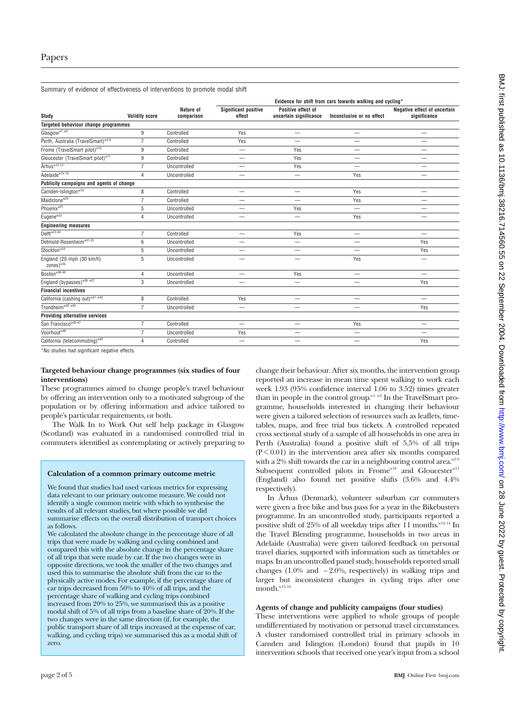Summary of evidence of effectiveness of interventions to promote modal shift

| Study                                              | <b>Validity score</b> | Nature of<br>comparison | Evidence for shift from cars towards walking and cycling* |                                              |                           |                                              |
|----------------------------------------------------|-----------------------|-------------------------|-----------------------------------------------------------|----------------------------------------------|---------------------------|----------------------------------------------|
|                                                    |                       |                         | <b>Significant positive</b><br>effect                     | Positive effect of<br>uncertain significance | Inconclusive or no effect | Negative effect of uncertain<br>significance |
| Targeted behaviour change programmes               |                       |                         |                                                           |                                              |                           |                                              |
| Glasgow <sup>w1 w2</sup>                           | 9                     | Controlled              | Yes                                                       | -                                            | —                         | -                                            |
| Perth, Australia (TravelSmart) <sup>w3-9</sup>     | $\overline{7}$        | Controlled              | Yes                                                       |                                              | -                         |                                              |
| Frome (TravelSmart pilot) <sup>w10</sup>           | 9                     | Controlled              | -                                                         | Yes                                          | -                         |                                              |
| Gloucester (TravelSmart pilot) <sup>w11</sup>      | 9                     | Controlled              | $\overline{\phantom{0}}$                                  | Yes                                          | —                         | -                                            |
| Århus <sup>w12-14</sup>                            | $\overline{7}$        | Uncontrolled            |                                                           | Yes                                          | $\overline{\phantom{0}}$  |                                              |
| Adelaide <sup>w15-18</sup>                         | $\overline{4}$        | Uncontrolled            |                                                           |                                              | Yes                       |                                              |
| Publicity campaigns and agents of change           |                       |                         |                                                           |                                              |                           |                                              |
| Camden-Islington <sup>w19</sup>                    | 8                     | Controlled              | $\qquad \qquad$                                           |                                              | Yes                       | -                                            |
| Maidstone <sup>w20</sup>                           | $\overline{7}$        | Controlled              |                                                           |                                              | Yes                       |                                              |
| Phoenix <sup>w21</sup>                             | 5                     | Uncontrolled            | —                                                         | Yes                                          | -                         | -                                            |
| Eugene <sup>w22</sup>                              | $\overline{4}$        | Uncontrolled            |                                                           | $\overline{\phantom{0}}$                     | Yes                       |                                              |
| <b>Engineering measures</b>                        |                       |                         |                                                           |                                              |                           |                                              |
| Delft <sup>w23-30</sup>                            | $\overline{7}$        | Controlled              | $\overline{\phantom{0}}$                                  | Yes                                          | $\overline{\phantom{0}}$  | $\overline{\phantom{0}}$                     |
| Detmold-Rosenheim <sup>w31-33</sup>                | 6                     | Uncontrolled            | —                                                         |                                              |                           | Yes                                          |
| Stockton <sup>w34</sup>                            | 5                     | Uncontrolled            | -                                                         | —                                            |                           | Yes                                          |
| England (20 mph (30 km/h)<br>zones) <sup>w35</sup> | 5                     | Uncontrolled            | -                                                         | -                                            | Yes                       | —                                            |
| Boston <sup>w38-40</sup>                           | $\overline{4}$        | Uncontrolled            |                                                           | Yes                                          | -                         |                                              |
| England (bypasses) <sup>w36 w37</sup>              | 3                     | Uncontrolled            | —                                                         | -                                            | -                         | Yes                                          |
| <b>Financial incentives</b>                        |                       |                         |                                                           |                                              |                           |                                              |
| California (cashing out) <sup>w41 w42</sup>        | 8                     | Controlled              | Yes                                                       | -                                            | —                         | $\overline{\phantom{0}}$                     |
| Trondheim <sup>w43</sup> w44                       | $\overline{7}$        | Uncontrolled            | —                                                         |                                              |                           | Yes                                          |
| <b>Providing alternative services</b>              |                       |                         |                                                           |                                              |                           |                                              |
| San Francisco <sup>w45-47</sup>                    | $\overline{7}$        | Controlled              | —                                                         | —                                            | Yes                       | -                                            |
| Voorhout <sup>w48</sup>                            | $\overline{7}$        | Uncontrolled            | Yes                                                       |                                              | —                         | $\overline{\phantom{0}}$                     |
| California (telecommuting) <sup>w49</sup>          | $\overline{4}$        | Controlled              | —                                                         | -                                            | -                         | Yes                                          |
|                                                    |                       |                         |                                                           |                                              |                           |                                              |

\*No studies had significant negative effects.

## **Targeted behaviour change programmes (six studies of four interventions)**

These programmes aimed to change people's travel behaviour by offering an intervention only to a motivated subgroup of the population or by offering information and advice tailored to people's particular requirements, or both.

The Walk In to Work Out self help package in Glasgow (Scotland) was evaluated in a randomised controlled trial in commuters identified as contemplating or actively preparing to

#### **Calculation of a common primary outcome metric**

We found that studies had used various metrics for expressing data relevant to our primary outcome measure. We could not identify a single common metric with which to synthesise the results of all relevant studies, but where possible we did summarise effects on the overall distribution of transport choices as follows.

We calculated the absolute change in the percentage share of all trips that were made by walking and cycling combined and compared this with the absolute change in the percentage share of all trips that were made by car. If the two changes were in opposite directions, we took the smaller of the two changes and used this to summarise the absolute shift from the car to the physically active modes. For example, if the percentage share of car trips decreased from  $50\%$  to  $40\%$  of all trips, and the percentage share of walking and cycling trips combined increased from 20% to 25%, we summarised this as a positive modal shift of 5% of all trips from a baseline share of 20%. If the two changes were in the same direction (if, for example, the public transport share of all trips increased at the expense of car, walking, and cycling trips) we summarised this as a modal shift of zero.

change their behaviour. After six months, the intervention group reported an increase in mean time spent walking to work each week 1.93 (95% confidence interval 1.06 to 3.52) times greater than in people in the control group.<sup>w1 w2</sup> In the TravelSmart programme, households interested in changing their behaviour were given a tailored selection of resources such as leaflets, timetables, maps, and free trial bus tickets. A controlled repeated cross sectional study of a sample of all households in one area in Perth (Australia) found a positive shift of 5.5% of all trips  $(P<0.01)$  in the intervention area after six months compared with a 2% shift towards the car in a neighbouring control area.<sup>w3</sup> Subsequent controlled pilots in Frome<sup>w10</sup> and Gloucester<sup>w11</sup> (England) also found net positive shifts (3.6% and 4.4% respectively).

In Århus (Denmark), volunteer suburban car commuters were given a free bike and bus pass for a year in the Bikebusters programme. In an uncontrolled study, participants reported a positive shift of 25% of all weekday trips after  $11$  months.<sup>w12-14</sup> In the Travel Blending programme, households in two areas in Adelaide (Australia) were given tailored feedback on personal travel diaries, supported with information such as timetables or maps. In an uncontrolled panel study, households reported small changes (1.0% and − 2.0%, respectively) in walking trips and larger but inconsistent changes in cycling trips after one month.<sup>w15-18</sup>

## **Agents of change and publicity campaigns (four studies)**

These interventions were applied to whole groups of people undifferentiated by motivation or personal travel circumstances. A cluster randomised controlled trial in primary schools in Camden and Islington (London) found that pupils in 10 intervention schools that received one year's input from a school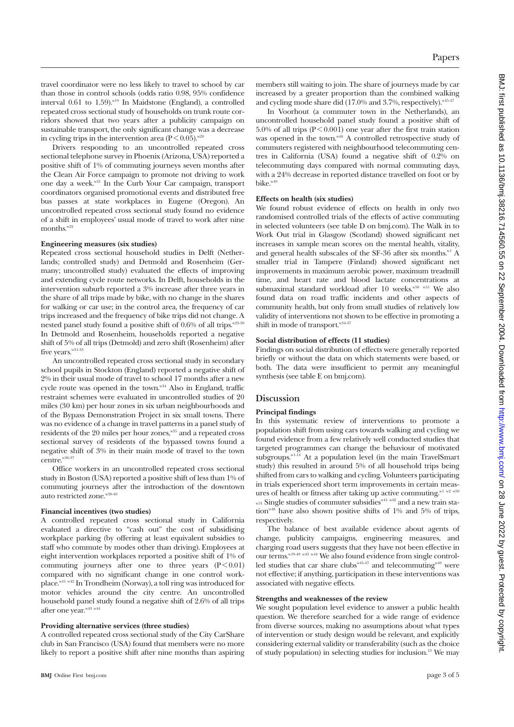travel coordinator were no less likely to travel to school by car than those in control schools (odds ratio 0.98, 95% confidence interval  $0.61$  to  $1.59$ ).<sup>w19</sup> In Maidstone (England), a controlled repeated cross sectional study of households on trunk route corridors showed that two years after a publicity campaign on sustainable transport, the only significant change was a decrease in cycling trips in the intervention area  $(P < 0.05)$ .<sup>w20</sup>

Drivers responding to an uncontrolled repeated cross sectional telephone survey in Phoenix (Arizona, USA) reported a positive shift of 1% of commuting journeys seven months after the Clean Air Force campaign to promote not driving to work one day a week.<sup>w21</sup> In the Curb Your Car campaign, transport coordinators organised promotional events and distributed free bus passes at state workplaces in Eugene (Oregon). An uncontrolled repeated cross sectional study found no evidence of a shift in employees' usual mode of travel to work after nine months.<sup>w2</sup>

#### **Engineering measures (six studies)**

Repeated cross sectional household studies in Delft (Netherlands; controlled study) and Detmold and Rosenheim (Germany; uncontrolled study) evaluated the effects of improving and extending cycle route networks. In Delft, households in the intervention suburb reported a 3% increase after three years in the share of all trips made by bike, with no change in the shares for walking or car use; in the control area, the frequency of car trips increased and the frequency of bike trips did not change. A nested panel study found a positive shift of 0.6% of all trips.<sup>w23-30</sup> In Detmold and Rosenheim, households reported a negative shift of 5% of all trips (Detmold) and zero shift (Rosenheim) after five years.<sup>w31-33</sup>

An uncontrolled repeated cross sectional study in secondary school pupils in Stockton (England) reported a negative shift of 2% in their usual mode of travel to school 17 months after a new cycle route was opened in the town.<sup>w34</sup> Also in England, traffic restraint schemes were evaluated in uncontrolled studies of 20 miles (30 km) per hour zones in six urban neighbourhoods and of the Bypass Demonstration Project in six small towns. There was no evidence of a change in travel patterns in a panel study of residents of the 20 miles per hour zones,<sup>w35</sup> and a repeated cross sectional survey of residents of the bypassed towns found a negative shift of 3% in their main mode of travel to the town centre.<sup>w36-37</sup>

Office workers in an uncontrolled repeated cross sectional study in Boston (USA) reported a positive shift of less than 1% of commuting journeys after the introduction of the downtown auto restricted zone.<sup>w38-40</sup>

#### **Financial incentives (two studies)**

A controlled repeated cross sectional study in California evaluated a directive to "cash out" the cost of subsidising workplace parking (by offering at least equivalent subsidies to staff who commute by modes other than driving). Employees at eight intervention workplaces reported a positive shift of 1% of commuting journeys after one to three years  $(P < 0.01)$ compared with no significant change in one control workplace.<sup>w41 w42</sup> In Trondheim (Norway), a toll ring was introduced for motor vehicles around the city centre. An uncontrolled household panel study found a negative shift of 2.6% of all trips after one year. W43 W44

## **Providing alternative services (three studies)**

A controlled repeated cross sectional study of the City CarShare club in San Francisco (USA) found that members were no more likely to report a positive shift after nine months than aspiring members still waiting to join. The share of journeys made by car increased by a greater proportion than the combined walking and cycling mode share did (17.0% and 3.7%, respectively).<sup>w45-47</sup>

In Voorhout (a commuter town in the Netherlands), an uncontrolled household panel study found a positive shift of 5.0% of all trips ( $P \le 0.001$ ) one year after the first train station was opened in the town.<sup>w48</sup> A controlled retrospective study of commuters registered with neighbourhood telecommuting centres in California (USA) found a negative shift of 0.2% on telecommuting days compared with normal commuting days, with a 24% decrease in reported distance travelled on foot or by bike $^{w49}$ 

## **Effects on health (six studies)**

We found robust evidence of effects on health in only two randomised controlled trials of the effects of active commuting in selected volunteers (see table D on bmj.com). The Walk in to Work Out trial in Glasgow (Scotland) showed significant net increases in sample mean scores on the mental health, vitality, and general health subscales of the SF-36 after six months. $w1$  A smaller trial in Tampere (Finland) showed significant net improvements in maximum aerobic power, maximum treadmill time, and heart rate and blood lactate concentrations at submaximal standard workload after 10 weeks.<sup>w50 w51</sup> We also found data on road traffic incidents and other aspects of community health, but only from small studies of relatively low validity of interventions not shown to be effective in promoting a shift in mode of transport.<sup>w34-37</sup>

## **Social distribution of effects (11 studies)**

Findings on social distribution of effects were generally reported briefly or without the data on which statements were based, or both. The data were insufficient to permit any meaningful synthesis (see table E on bmj.com).

## **Discussion**

## **Principal findings**

In this systematic review of interventions to promote a population shift from using cars towards walking and cycling we found evidence from a few relatively well conducted studies that targeted programmes can change the behaviour of motivated subgroups.<sup>w1-14</sup> At a population level (in the main TravelSmart study) this resulted in around 5% of all household trips being shifted from cars to walking and cycling. Volunteers participating in trials experienced short term improvements in certain measures of health or fitness after taking up active commuting.<sup>w1 w2</sup> w<sup>50</sup>  $_{w51}$  Single studies of commuter subsidies  $_{w41}$   $_{w42}$  and a new train station<sup>w48</sup> have also shown positive shifts of 1% and 5% of trips, respectively.

The balance of best available evidence about agents of change, publicity campaigns, engineering measures, and charging road users suggests that they have not been effective in our terms. $^{w19-40}$  w<sup>43</sup> w<sup>44</sup> We also found evidence from single controlled studies that car share clubs<sup>w45-47</sup> and telecommuting<sup>w49</sup> were not effective; if anything, participation in these interventions was associated with negative effects.

## **Strengths and weaknesses of the review**

We sought population level evidence to answer a public health question. We therefore searched for a wide range of evidence from diverse sources, making no assumptions about what types of intervention or study design would be relevant, and explicitly considering external validity or transferability (such as the choice of study population) in selecting studies for inclusion.13 We may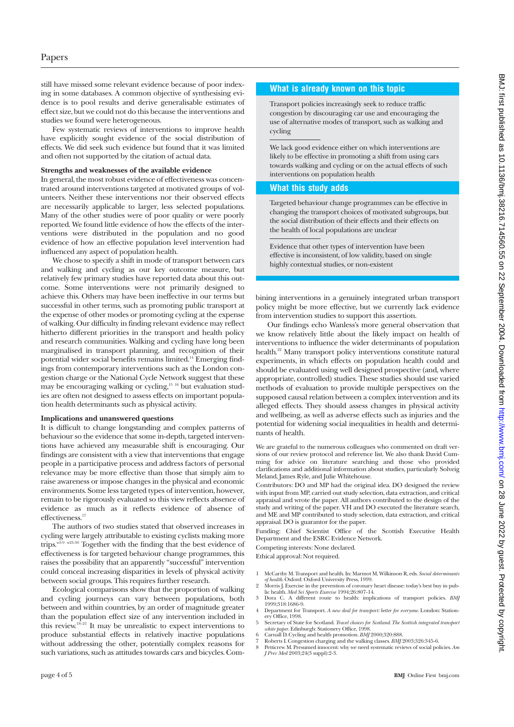still have missed some relevant evidence because of poor indexing in some databases. A common objective of synthesising evidence is to pool results and derive generalisable estimates of effect size, but we could not do this because the interventions and studies we found were heterogeneous.

Few systematic reviews of interventions to improve health have explicitly sought evidence of the social distribution of effects. We did seek such evidence but found that it was limited and often not supported by the citation of actual data.

#### **Strengths and weaknesses of the available evidence**

In general, the most robust evidence of effectiveness was concentrated around interventions targeted at motivated groups of volunteers. Neither these interventions nor their observed effects are necessarily applicable to larger, less selected populations. Many of the other studies were of poor quality or were poorly reported. We found little evidence of how the effects of the interventions were distributed in the population and no good evidence of how an effective population level intervention had influenced any aspect of population health.

We chose to specify a shift in mode of transport between cars and walking and cycling as our key outcome measure, but relatively few primary studies have reported data about this outcome. Some interventions were not primarily designed to achieve this. Others may have been ineffective in our terms but successful in other terms, such as promoting public transport at the expense of other modes or promoting cycling at the expense of walking. Our difficulty in finding relevant evidence may reflect hitherto different priorities in the transport and health policy and research communities. Walking and cycling have long been marginalised in transport planning, and recognition of their potential wider social benefits remains limited.14 Emerging findings from contemporary interventions such as the London congestion charge or the National Cycle Network suggest that these may be encouraging walking or cycling,<sup>15 16</sup> but evaluation studies are often not designed to assess effects on important population health determinants such as physical activity.

### **Implications and unanswered questions**

It is difficult to change longstanding and complex patterns of behaviour so the evidence that some in-depth, targeted interventions have achieved any measurable shift is encouraging. Our findings are consistent with a view that interventions that engage people in a participative process and address factors of personal relevance may be more effective than those that simply aim to raise awareness or impose changes in the physical and economic environments. Some less targeted types of intervention, however, remain to be rigorously evaluated so this view reflects absence of evidence as much as it reflects evidence of absence of effectiveness.<sup>17</sup>

The authors of two studies stated that observed increases in cycling were largely attributable to existing cyclists making more trips.<sup>w3.9</sup> w<sub>23-30</sub> Together with the finding that the best evidence of effectiveness is for targeted behaviour change programmes, this raises the possibility that an apparently "successful" intervention could conceal increasing disparities in levels of physical activity between social groups. This requires further research.

Ecological comparisons show that the proportion of walking and cycling journeys can vary between populations, both between and within countries, by an order of magnitude greater than the population effect size of any intervention included in this review.<sup>18–21</sup> It may be unrealistic to expect interventions to produce substantial effects in relatively inactive populations without addressing the other, potentially complex reasons for such variations, such as attitudes towards cars and bicycles. Com-

# **What is already known on this topic**

Transport policies increasingly seek to reduce traffic congestion by discouraging car use and encouraging the use of alternative modes of transport, such as walking and cycling

We lack good evidence either on which interventions are likely to be effective in promoting a shift from using cars towards walking and cycling or on the actual effects of such interventions on population health

## **What this study adds**

Targeted behaviour change programmes can be effective in changing the transport choices of motivated subgroups, but the social distribution of their effects and their effects on the health of local populations are unclear

Evidence that other types of intervention have been effective is inconsistent, of low validity, based on single highly contextual studies, or non-existent

bining interventions in a genuinely integrated urban transport policy might be more effective, but we currently lack evidence from intervention studies to support this assertion.

Our findings echo Wanless's more general observation that we know relatively little about the likely impact on health of interventions to influence the wider determinants of population health.<sup>22</sup> Many transport policy interventions constitute natural experiments, in which effects on population health could and should be evaluated using well designed prospective (and, where appropriate, controlled) studies. These studies should use varied methods of evaluation to provide multiple perspectives on the supposed causal relation between a complex intervention and its alleged effects. They should assess changes in physical activity and wellbeing, as well as adverse effects such as injuries and the potential for widening social inequalities in health and determinants of health.

We are grateful to the numerous colleagues who commented on draft versions of our review protocol and reference list. We also thank David Cumming for advice on literature searching and those who provided clarifications and additional information about studies, particularly Solveig Meland, James Ryle, and Julie Whitehouse.

Contributors: DO and MP had the original idea. DO designed the review with input from MP, carried out study selection, data extraction, and critical appraisal and wrote the paper. All authors contributed to the design of the study and writing of the paper. VH and DO executed the literature search, and ME and MP contributed to study selection, data extraction, and critical appraisal. DO is guarantor for the paper.

Funding: Chief Scientist Office of the Scottish Executive Health Department and the ESRC Evidence Network.

Competing interests: None declared.

Ethical approval: Not required.

- 1 McCarthy M. Transport and health. In: Marmot M, Wilkinson R, eds. *Social determinants of health*. Oxford: Oxford University Press, 1999.
- 2 Morris J. Exercise in the prevention of coronary heart disease: today's best buy in pub-lic health. *Med Sci Sports Exercise* 1994;26:807-14.
- 3 Dora C. A different route to health: implications of transport policies. *BMJ* 1999;318:1686-9. 4 Department for Transport. *A new deal for transport: better for everyone*. London: Station-
- ery Office, 1998.
- 5 Secretary of State for Scotland. *Travel choices for Scotland. The Scottish integrated transport white paper*. Edinburgh: Stationery Office, 1998. 6 Carnall D. Cycling and health promotion. *BMJ* 2000;320:888.
- 7 Roberts I. Congestion charging and the walking classes. *BMJ* 2003;326:345-6.
- 8 Petticrew M. Presumed innocent: why we need systematic reviews of social policies. *Am J Prev Med* 2003;24(3 suppl):2-3.